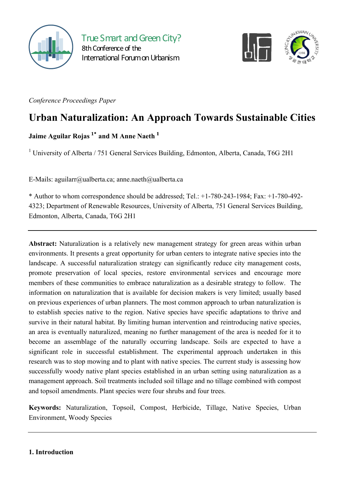



*Conference Proceedings Paper*

# **Urban Naturalization: An Approach Towards Sustainable Cities**

## **Jaime Aguilar Rojas 1\* and M Anne Naeth <sup>1</sup>**

<sup>1</sup> University of Alberta / 751 General Services Building, Edmonton, Alberta, Canada, T6G 2H1

E-Mails: aguilarr@ualberta.ca; anne.naeth@ualberta.ca

\* Author to whom correspondence should be addressed; Tel.: +1-780-243-1984; Fax: +1-780-492- 4323; Department of Renewable Resources, University of Alberta, 751 General Services Building, Edmonton, Alberta, Canada, T6G 2H1

**Abstract:** Naturalization is a relatively new management strategy for green areas within urban environments. It presents a great opportunity for urban centers to integrate native species into the landscape. A successful naturalization strategy can significantly reduce city management costs, promote preservation of local species, restore environmental services and encourage more members of these communities to embrace naturalization as a desirable strategy to follow. The information on naturalization that is available for decision makers is very limited; usually based on previous experiences of urban planners. The most common approach to urban naturalization is to establish species native to the region. Native species have specific adaptations to thrive and survive in their natural habitat. By limiting human intervention and reintroducing native species, an area is eventually naturalized, meaning no further management of the area is needed for it to become an assemblage of the naturally occurring landscape. Soils are expected to have a significant role in successful establishment. The experimental approach undertaken in this research was to stop mowing and to plant with native species. The current study is assessing how successfully woody native plant species established in an urban setting using naturalization as a management approach. Soil treatments included soil tillage and no tillage combined with compost and topsoil amendments. Plant species were four shrubs and four trees.

**Keywords:** Naturalization, Topsoil, Compost, Herbicide, Tillage, Native Species, Urban Environment, Woody Species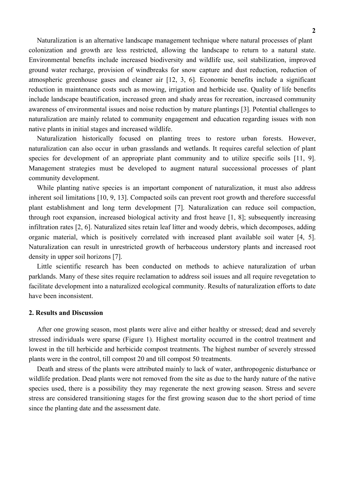Naturalization is an alternative landscape management technique where natural processes of plant colonization and growth are less restricted, allowing the landscape to return to a natural state. Environmental benefits include increased biodiversity and wildlife use, soil stabilization, improved ground water recharge, provision of windbreaks for snow capture and dust reduction, reduction of atmospheric greenhouse gases and cleaner air [12, 3, 6]. Economic benefits include a significant reduction in maintenance costs such as mowing, irrigation and herbicide use. Quality of life benefits include landscape beautification, increased green and shady areas for recreation, increased community awareness of environmental issues and noise reduction by mature plantings [3]. Potential challenges to naturalization are mainly related to community engagement and education regarding issues with non native plants in initial stages and increased wildlife.

Naturalization historically focused on planting trees to restore urban forests. However, naturalization can also occur in urban grasslands and wetlands. It requires careful selection of plant species for development of an appropriate plant community and to utilize specific soils [11, 9]. Management strategies must be developed to augment natural successional processes of plant community development.

While planting native species is an important component of naturalization, it must also address inherent soil limitations [10, 9, 13]. Compacted soils can prevent root growth and therefore successful plant establishment and long term development [7]. Naturalization can reduce soil compaction, through root expansion, increased biological activity and frost heave [1, 8]; subsequently increasing infiltration rates [2, 6]. Naturalized sites retain leaf litter and woody debris, which decomposes, adding organic material, which is positively correlated with increased plant available soil water [4, 5]. Naturalization can result in unrestricted growth of herbaceous understory plants and increased root density in upper soil horizons [7].

Little scientific research has been conducted on methods to achieve naturalization of urban parklands. Many of these sites require reclamation to address soil issues and all require revegetation to facilitate development into a naturalized ecological community. Results of naturalization efforts to date have been inconsistent.

#### **2. Results and Discussion**

After one growing season, most plants were alive and either healthy or stressed; dead and severely stressed individuals were sparse (Figure 1). Highest mortality occurred in the control treatment and lowest in the till herbicide and herbicide compost treatments. The highest number of severely stressed plants were in the control, till compost 20 and till compost 50 treatments.

Death and stress of the plants were attributed mainly to lack of water, anthropogenic disturbance or wildlife predation. Dead plants were not removed from the site as due to the hardy nature of the native species used, there is a possibility they may regenerate the next growing season. Stress and severe stress are considered transitioning stages for the first growing season due to the short period of time since the planting date and the assessment date.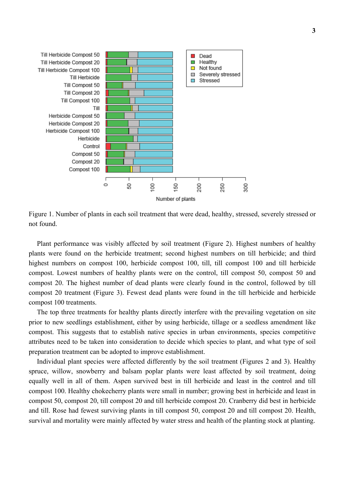

Figure 1. Number of plants in each soil treatment that were dead, healthy, stressed, severely stressed or not found.

Plant performance was visibly affected by soil treatment (Figure 2). Highest numbers of healthy plants were found on the herbicide treatment; second highest numbers on till herbicide; and third highest numbers on compost 100, herbicide compost 100, till, till compost 100 and till herbicide compost. Lowest numbers of healthy plants were on the control, till compost 50, compost 50 and compost 20. The highest number of dead plants were clearly found in the control, followed by till compost 20 treatment (Figure 3). Fewest dead plants were found in the till herbicide and herbicide compost 100 treatments.

The top three treatments for healthy plants directly interfere with the prevailing vegetation on site prior to new seedlings establishment, either by using herbicide, tillage or a seedless amendment like compost. This suggests that to establish native species in urban environments, species competitive attributes need to be taken into consideration to decide which species to plant, and what type of soil preparation treatment can be adopted to improve establishment.

Individual plant species were affected differently by the soil treatment (Figures 2 and 3). Healthy spruce, willow, snowberry and balsam poplar plants were least affected by soil treatment, doing equally well in all of them. Aspen survived best in till herbicide and least in the control and till compost 100. Healthy chokecherry plants were small in number; growing best in herbicide and least in compost 50, compost 20, till compost 20 and till herbicide compost 20. Cranberry did best in herbicide and till. Rose had fewest surviving plants in till compost 50, compost 20 and till compost 20. Health, survival and mortality were mainly affected by water stress and health of the planting stock at planting.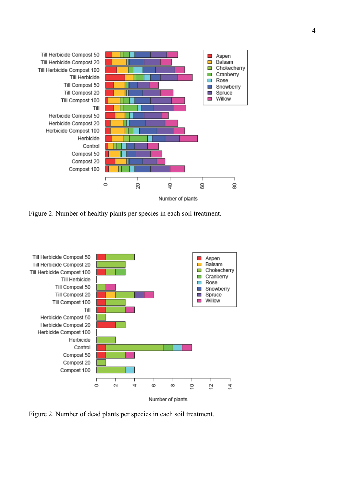

Figure 2. Number of healthy plants per species in each soil treatment.



Figure 2. Number of dead plants per species in each soil treatment.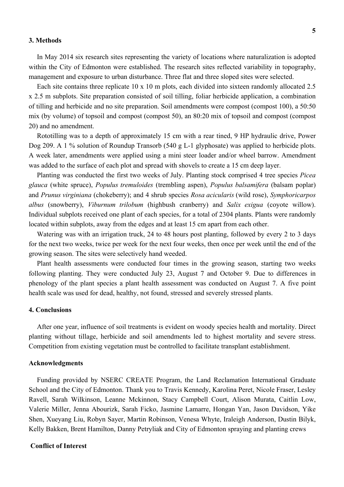#### **3. Methods**

In May 2014 six research sites representing the variety of locations where naturalization is adopted within the City of Edmonton were established. The research sites reflected variability in topography, management and exposure to urban disturbance. Three flat and three sloped sites were selected.

Each site contains three replicate 10 x 10 m plots, each divided into sixteen randomly allocated 2.5 x 2.5 m subplots. Site preparation consisted of soil tilling, foliar herbicide application, a combination of tilling and herbicide and no site preparation. Soil amendments were compost (compost 100), a 50:50 mix (by volume) of topsoil and compost (compost 50), an 80:20 mix of topsoil and compost (compost 20) and no amendment.

Rototilling was to a depth of approximately 15 cm with a rear tined, 9 HP hydraulic drive, Power Dog 209. A 1 % solution of Roundup Transorb (540 g L-1 glyphosate) was applied to herbicide plots. A week later, amendments were applied using a mini steer loader and/or wheel barrow. Amendment was added to the surface of each plot and spread with shovels to create a 15 cm deep layer.

Planting was conducted the first two weeks of July. Planting stock comprised 4 tree species *Picea glauca* (white spruce), *Populus tremuloides* (trembling aspen), *Populus balsamifera* (balsam poplar) and *Prunus virginiana* (chokeberry); and 4 shrub species *Rosa acicularis* (wild rose), *Symphoricarpos albus* (snowberry), *Viburnum trilobum* (highbush cranberry) and *Salix exigua* (coyote willow). Individual subplots received one plant of each species, for a total of 2304 plants. Plants were randomly located within subplots, away from the edges and at least 15 cm apart from each other.

Watering was with an irrigation truck, 24 to 48 hours post planting, followed by every 2 to 3 days for the next two weeks, twice per week for the next four weeks, then once per week until the end of the growing season. The sites were selectively hand weeded.

Plant health assessments were conducted four times in the growing season, starting two weeks following planting. They were conducted July 23, August 7 and October 9. Due to differences in phenology of the plant species a plant health assessment was conducted on August 7. A five point health scale was used for dead, healthy, not found, stressed and severely stressed plants.

#### **4. Conclusions**

After one year, influence of soil treatments is evident on woody species health and mortality. Direct planting without tillage, herbicide and soil amendments led to highest mortality and severe stress. Competition from existing vegetation must be controlled to facilitate transplant establishment.

#### **Acknowledgments**

Funding provided by NSERC CREATE Program, the Land Reclamation International Graduate School and the City of Edmonton. Thank you to Travis Kennedy, Karolina Peret, Nicole Fraser, Lesley Ravell, Sarah Wilkinson, Leanne Mckinnon, Stacy Campbell Court, Alison Murata, Caitlin Low, Valerie Miller, Jenna Abourizk, Sarah Ficko, Jasmine Lamarre, Hongan Yan, Jason Davidson, Yike Shen, Xueyang Liu, Robyn Sayer, Martin Robinson, Venesa Whyte, Iraleigh Anderson, Dustin Bilyk, Kelly Bakken, Brent Hamilton, Danny Petryliak and City of Edmonton spraying and planting crews

### **Conflict of Interest**